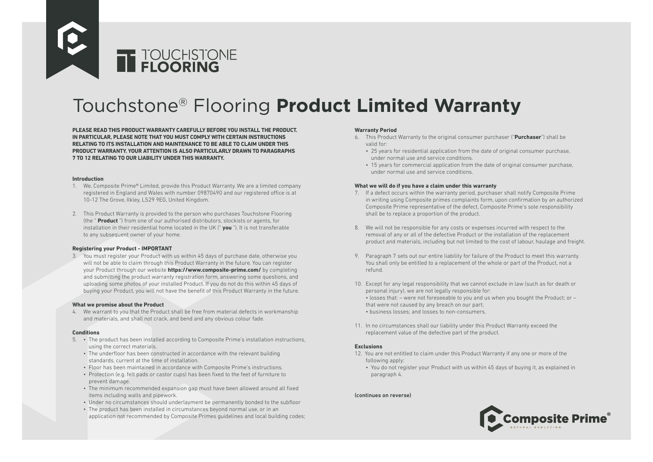

# Touchstone® Flooring **Product Limited Warranty**

**PLEASE READ THIS PRODUCT WARRANTY CAREFULLY BEFORE YOU INSTALL THE PRODUCT. IN PARTICULAR, PLEASE NOTE THAT YOU MUST COMPLY WITH CERTAIN INSTRUCTIONS RELATING TO ITS INSTALLATION AND MAINTENANCE TO BE ABLE TO CLAIM UNDER THIS PRODUCT WARRANTY. YOUR ATTENTION IS ALSO PARTICULARLY DRAWN TO PARAGRAPHS 7 TO 12 RELATING TO OUR LIABILITY UNDER THIS WARRANTY.**

#### **Introduction**

- 1. We, Composite Prime® Limited, provide this Product Warranty. We are a limited company registered in England and Wales with number 09870490 and our registered office is at 10-12 The Grove, Ilkley, LS29 9EG, United Kingdom.
- 2. This Product Warranty is provided to the person who purchases Touchstone Flooring (the " **Product** ") from one of our authorised distributors, stockists or agents, for installation in their residential home located in the UK (" **you** "). It is not transferable to any subsequent owner of your home.

## **Registering your Product - IMPORTANT**

3. You must register your Product with us within 45 days of purchase date, otherwise you will not be able to claim through this Product Warranty in the future. You can register your Product through our website **https://www.composite-prime.com/** by completing and submitting the product warranty registration form, answering some questions, and uploading some photos of your installed Product. If you do not do this within 45 days of buying your Product, you will not have the benefit of this Product Warranty in the future.

#### **What we promise about the Product**

4. We warrant to you that the Product shall be free from material defects in workmanship and materials, and shall not crack, and bend and any obvious colour fade.

## **Conditions**

- 5. The product has been installed according to Composite Prime's installation instructions, using the correct materials.
	- The underfloor has been constructed in accordance with the relevant building standards, current at the time of installation.
	- Floor has been maintained in accordance with Composite Prime's instructions.
	- Protection (e.g. felt pads or castor cups) has been fixed to the feet of furniture to prevent damage.
	- The minimum recommended expansion gap must have been allowed around all fixed items including walls and pipework.
	- Under no circumstances should underlayment be permanently bonded to the subfloor
	- The product has been installed in circumstances beyond normal use, or in an application not recommended by Composite Primes guidelines and local building codes;

## **Warranty Period**

- 6. This Product Warranty to the original consumer purchaser ("**Purchaser**") shall be valid for:
	- 25 years for residential application from the date of original consumer purchase, under normal use and service conditions.
	- 15 years for commercial application from the date of original consumer purchase, under normal use and service conditions.

#### **What we will do if you have a claim under this warranty**

- 7. If a defect occurs within the warranty period, purchaser shall notify Composite Prime in writing using Composite primes complaints form, upon confirmation by an authorized Composite Prime representative of the defect, Composite Prime's sole responsibility shall be to replace a proportion of the product.
- 8. We will not be responsible for any costs or expenses incurred with respect to the removal of any or all of the defective Product or the installation of the replacement product and materials, including but not limited to the cost of labour, haulage and freight.
- 9. Paragraph 7 sets out our entire liability for failure of the Product to meet this warranty. You shall only be entitled to a replacement of the whole or part of the Product, not a refund.
- 10. Except for any legal responsibility that we cannot exclude in law (such as for death or personal injury), we are not legally responsible for: • losses that: – were not foreseeable to you and us when you bought the Product; or – that were not caused by any breach on our part; • business losses; and losses to non-consumers.
- 11. In no circumstances shall our liability under this Product Warranty exceed the replacement value of the defective part of the product.

# **Exclusions**

- 12. You are not entitled to claim under this Product Warranty if any one or more of the following apply:
	- You do not register your Product with us within 45 days of buying it, as explained in paragraph 4.

## (continues on reverse)